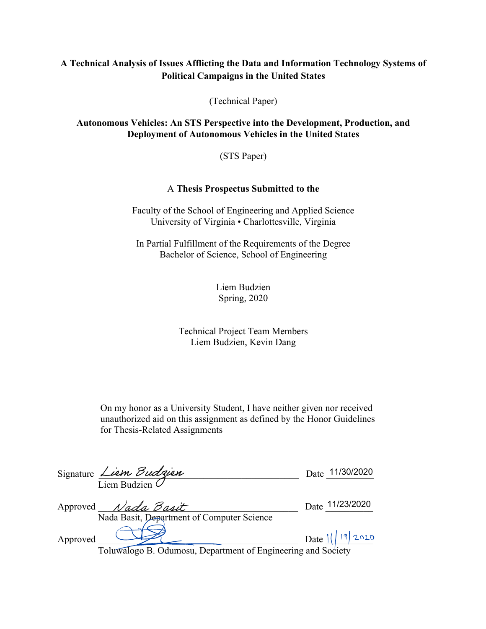# **A Technical Analysis of Issues Afflicting the Data and Information Technology Systems of Political Campaigns in the United States**

(Technical Paper)

### **Autonomous Vehicles: An STS Perspective into the Development, Production, and Deployment of Autonomous Vehicles in the United States**

(STS Paper)

## A **Thesis Prospectus Submitted to the**

Faculty of the School of Engineering and Applied Science University of Virginia • Charlottesville, Virginia

In Partial Fulfillment of the Requirements of the Degree Bachelor of Science, School of Engineering

> Liem Budzien Spring, 2020

## Technical Project Team Members Liem Budzien, Kevin Dang

On my honor as a University Student, I have neither given nor received unauthorized aid on this assignment as defined by the Honor Guidelines for Thesis-Related Assignments

|          | Signature Liem Budzien                                            | Date 11/30/2020   |
|----------|-------------------------------------------------------------------|-------------------|
|          | $\overline{\text{Liem Budzien}}$                                  |                   |
|          | Approved Nada Basit<br>Nada Basit, Department of Computer Science | Date 11/23/2020   |
| Approved |                                                                   | Date $1/ 19 2020$ |
|          | Toluwalogo B. Odumosu, Department of Engineering and Society      |                   |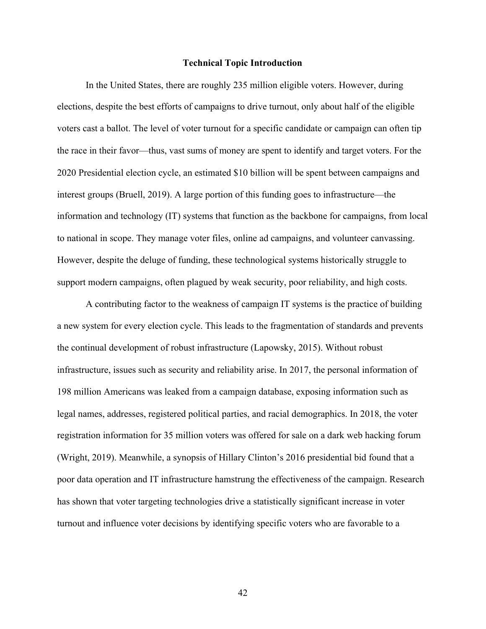#### **Technical Topic Introduction**

In the United States, there are roughly 235 million eligible voters. However, during elections, despite the best efforts of campaigns to drive turnout, only about half of the eligible voters cast a ballot. The level of voter turnout for a specific candidate or campaign can often tip the race in their favor—thus, vast sums of money are spent to identify and target voters. For the 2020 Presidential election cycle, an estimated \$10 billion will be spent between campaigns and interest groups (Bruell, 2019). A large portion of this funding goes to infrastructure—the information and technology (IT) systems that function as the backbone for campaigns, from local to national in scope. They manage voter files, online ad campaigns, and volunteer canvassing. However, despite the deluge of funding, these technological systems historically struggle to support modern campaigns, often plagued by weak security, poor reliability, and high costs.

 A contributing factor to the weakness of campaign IT systems is the practice of building a new system for every election cycle. This leads to the fragmentation of standards and prevents the continual development of robust infrastructure (Lapowsky, 2015). Without robust infrastructure, issues such as security and reliability arise. In 2017, the personal information of 198 million Americans was leaked from a campaign database, exposing information such as legal names, addresses, registered political parties, and racial demographics. In 2018, the voter registration information for 35 million voters was offered for sale on a dark web hacking forum (Wright, 2019). Meanwhile, a synopsis of Hillary Clinton's 2016 presidential bid found that a poor data operation and IT infrastructure hamstrung the effectiveness of the campaign. Research has shown that voter targeting technologies drive a statistically significant increase in voter turnout and influence voter decisions by identifying specific voters who are favorable to a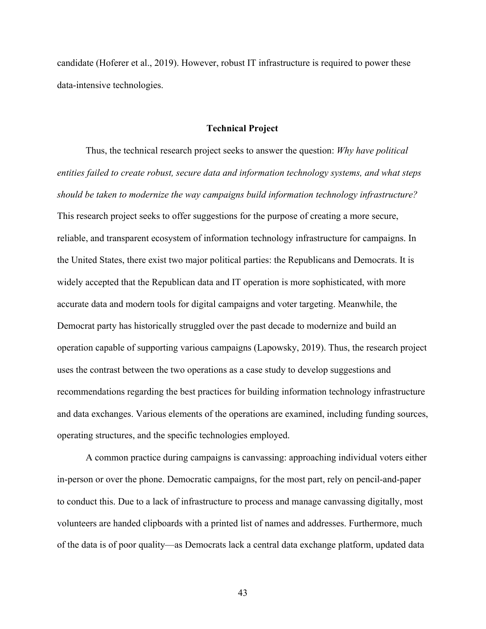candidate (Hoferer et al., 2019). However, robust IT infrastructure is required to power these data-intensive technologies.

#### **Technical Project**

 Thus, the technical research project seeks to answer the question: *Why have political entities failed to create robust, secure data and information technology systems, and what steps should be taken to modernize the way campaigns build information technology infrastructure?* This research project seeks to offer suggestions for the purpose of creating a more secure, reliable, and transparent ecosystem of information technology infrastructure for campaigns. In the United States, there exist two major political parties: the Republicans and Democrats. It is widely accepted that the Republican data and IT operation is more sophisticated, with more accurate data and modern tools for digital campaigns and voter targeting. Meanwhile, the Democrat party has historically struggled over the past decade to modernize and build an operation capable of supporting various campaigns (Lapowsky, 2019). Thus, the research project uses the contrast between the two operations as a case study to develop suggestions and recommendations regarding the best practices for building information technology infrastructure and data exchanges. Various elements of the operations are examined, including funding sources, operating structures, and the specific technologies employed.

 A common practice during campaigns is canvassing: approaching individual voters either in-person or over the phone. Democratic campaigns, for the most part, rely on pencil-and-paper to conduct this. Due to a lack of infrastructure to process and manage canvassing digitally, most volunteers are handed clipboards with a printed list of names and addresses. Furthermore, much of the data is of poor quality—as Democrats lack a central data exchange platform, updated data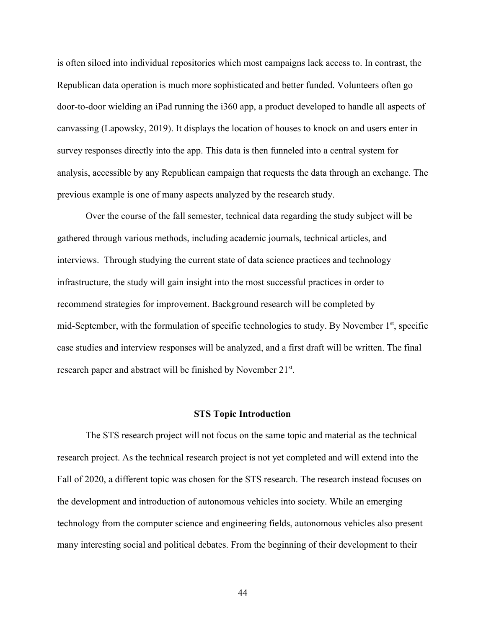is often siloed into individual repositories which most campaigns lack access to. In contrast, the Republican data operation is much more sophisticated and better funded. Volunteers often go door-to-door wielding an iPad running the i360 app, a product developed to handle all aspects of canvassing (Lapowsky, 2019). It displays the location of houses to knock on and users enter in survey responses directly into the app. This data is then funneled into a central system for analysis, accessible by any Republican campaign that requests the data through an exchange. The previous example is one of many aspects analyzed by the research study.

Over the course of the fall semester, technical data regarding the study subject will be gathered through various methods, including academic journals, technical articles, and interviews. Through studying the current state of data science practices and technology infrastructure, the study will gain insight into the most successful practices in order to recommend strategies for improvement. Background research will be completed by mid-September, with the formulation of specific technologies to study. By November 1<sup>st</sup>, specific case studies and interview responses will be analyzed, and a first draft will be written. The final research paper and abstract will be finished by November 21<sup>st</sup>.

#### **STS Topic Introduction**

 The STS research project will not focus on the same topic and material as the technical research project. As the technical research project is not yet completed and will extend into the Fall of 2020, a different topic was chosen for the STS research. The research instead focuses on the development and introduction of autonomous vehicles into society. While an emerging technology from the computer science and engineering fields, autonomous vehicles also present many interesting social and political debates. From the beginning of their development to their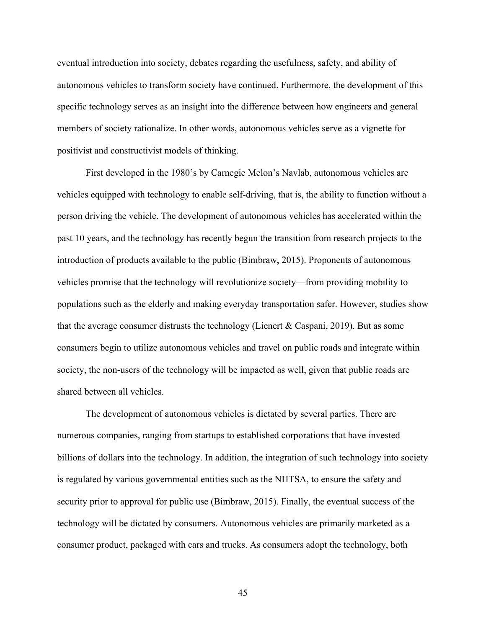eventual introduction into society, debates regarding the usefulness, safety, and ability of autonomous vehicles to transform society have continued. Furthermore, the development of this specific technology serves as an insight into the difference between how engineers and general members of society rationalize. In other words, autonomous vehicles serve as a vignette for positivist and constructivist models of thinking.

 First developed in the 1980's by Carnegie Melon's Navlab, autonomous vehicles are vehicles equipped with technology to enable self-driving, that is, the ability to function without a person driving the vehicle. The development of autonomous vehicles has accelerated within the past 10 years, and the technology has recently begun the transition from research projects to the introduction of products available to the public (Bimbraw, 2015). Proponents of autonomous vehicles promise that the technology will revolutionize society—from providing mobility to populations such as the elderly and making everyday transportation safer. However, studies show that the average consumer distrusts the technology (Lienert & Caspani, 2019). But as some consumers begin to utilize autonomous vehicles and travel on public roads and integrate within society, the non-users of the technology will be impacted as well, given that public roads are shared between all vehicles.

 The development of autonomous vehicles is dictated by several parties. There are numerous companies, ranging from startups to established corporations that have invested billions of dollars into the technology. In addition, the integration of such technology into society is regulated by various governmental entities such as the NHTSA, to ensure the safety and security prior to approval for public use (Bimbraw, 2015). Finally, the eventual success of the technology will be dictated by consumers. Autonomous vehicles are primarily marketed as a consumer product, packaged with cars and trucks. As consumers adopt the technology, both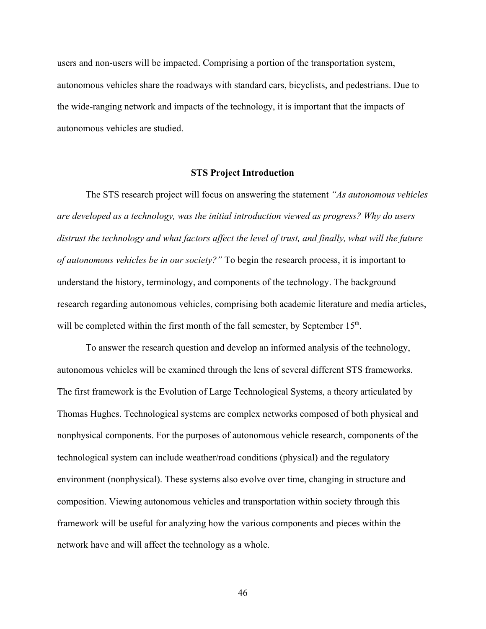users and non-users will be impacted. Comprising a portion of the transportation system, autonomous vehicles share the roadways with standard cars, bicyclists, and pedestrians. Due to the wide-ranging network and impacts of the technology, it is important that the impacts of autonomous vehicles are studied.

#### **STS Project Introduction**

The STS research project will focus on answering the statement *"As autonomous vehicles are developed as a technology, was the initial introduction viewed as progress? Why do users distrust the technology and what factors affect the level of trust, and finally, what will the future of autonomous vehicles be in our society?"* To begin the research process, it is important to understand the history, terminology, and components of the technology. The background research regarding autonomous vehicles, comprising both academic literature and media articles, will be completed within the first month of the fall semester, by September 15<sup>th</sup>.

 To answer the research question and develop an informed analysis of the technology, autonomous vehicles will be examined through the lens of several different STS frameworks. The first framework is the Evolution of Large Technological Systems, a theory articulated by Thomas Hughes. Technological systems are complex networks composed of both physical and nonphysical components. For the purposes of autonomous vehicle research, components of the technological system can include weather/road conditions (physical) and the regulatory environment (nonphysical). These systems also evolve over time, changing in structure and composition. Viewing autonomous vehicles and transportation within society through this framework will be useful for analyzing how the various components and pieces within the network have and will affect the technology as a whole.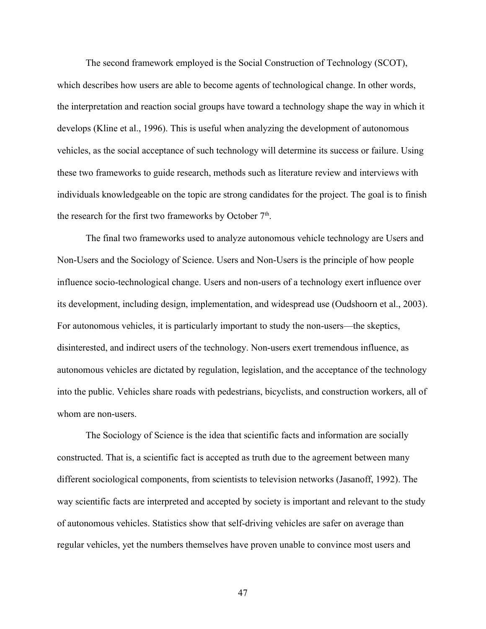The second framework employed is the Social Construction of Technology (SCOT), which describes how users are able to become agents of technological change. In other words, the interpretation and reaction social groups have toward a technology shape the way in which it develops (Kline et al., 1996). This is useful when analyzing the development of autonomous vehicles, as the social acceptance of such technology will determine its success or failure. Using these two frameworks to guide research, methods such as literature review and interviews with individuals knowledgeable on the topic are strong candidates for the project. The goal is to finish the research for the first two frameworks by October  $7<sup>th</sup>$ .

 The final two frameworks used to analyze autonomous vehicle technology are Users and Non-Users and the Sociology of Science. Users and Non-Users is the principle of how people influence socio-technological change. Users and non-users of a technology exert influence over its development, including design, implementation, and widespread use (Oudshoorn et al., 2003). For autonomous vehicles, it is particularly important to study the non-users—the skeptics, disinterested, and indirect users of the technology. Non-users exert tremendous influence, as autonomous vehicles are dictated by regulation, legislation, and the acceptance of the technology into the public. Vehicles share roads with pedestrians, bicyclists, and construction workers, all of whom are non-users.

 The Sociology of Science is the idea that scientific facts and information are socially constructed. That is, a scientific fact is accepted as truth due to the agreement between many different sociological components, from scientists to television networks (Jasanoff, 1992). The way scientific facts are interpreted and accepted by society is important and relevant to the study of autonomous vehicles. Statistics show that self-driving vehicles are safer on average than regular vehicles, yet the numbers themselves have proven unable to convince most users and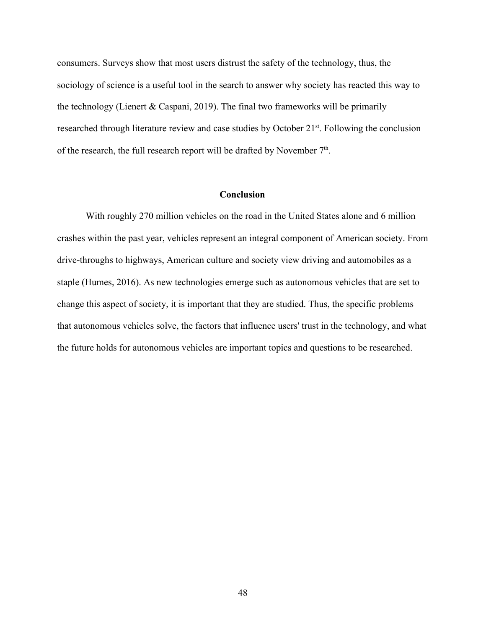consumers. Surveys show that most users distrust the safety of the technology, thus, the sociology of science is a useful tool in the search to answer why society has reacted this way to the technology (Lienert & Caspani, 2019). The final two frameworks will be primarily researched through literature review and case studies by October 21<sup>st</sup>. Following the conclusion of the research, the full research report will be drafted by November  $7<sup>th</sup>$ .

### **Conclusion**

With roughly 270 million vehicles on the road in the United States alone and 6 million crashes within the past year, vehicles represent an integral component of American society. From drive-throughs to highways, American culture and society view driving and automobiles as a staple (Humes, 2016). As new technologies emerge such as autonomous vehicles that are set to change this aspect of society, it is important that they are studied. Thus, the specific problems that autonomous vehicles solve, the factors that influence users' trust in the technology, and what the future holds for autonomous vehicles are important topics and questions to be researched.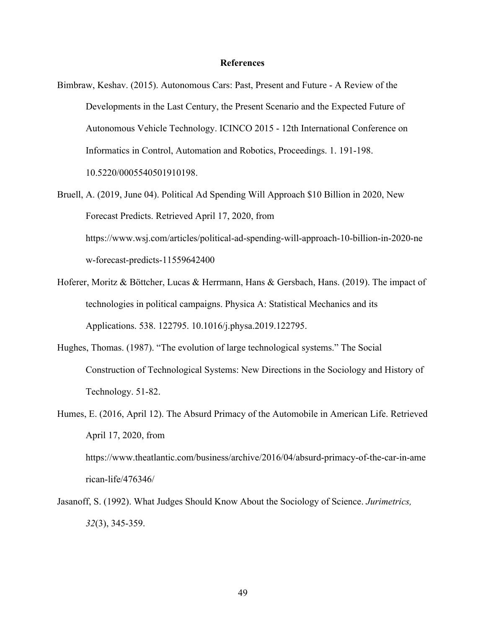#### **References**

- Bimbraw, Keshav. (2015). Autonomous Cars: Past, Present and Future A Review of the Developments in the Last Century, the Present Scenario and the Expected Future of Autonomous Vehicle Technology. ICINCO 2015 - 12th International Conference on Informatics in Control, Automation and Robotics, Proceedings. 1. 191-198. 10.5220/0005540501910198.
- Bruell, A. (2019, June 04). Political Ad Spending Will Approach \$10 Billion in 2020, New Forecast Predicts. Retrieved April 17, 2020, from https://www.wsj.com/articles/political-ad-spending-will-approach-10-billion-in-2020-ne w-forecast-predicts-11559642400
- Hoferer, Moritz & Böttcher, Lucas & Herrmann, Hans & Gersbach, Hans. (2019). The impact of technologies in political campaigns. Physica A: Statistical Mechanics and its Applications. 538. 122795. 10.1016/j.physa.2019.122795.
- Hughes, Thomas. (1987). "The evolution of large technological systems." The Social Construction of Technological Systems: New Directions in the Sociology and History of Technology. 51-82.
- Humes, E. (2016, April 12). The Absurd Primacy of the Automobile in American Life. Retrieved April 17, 2020, from https://www.theatlantic.com/business/archive/2016/04/absurd-primacy-of-the-car-in-ame rican-life/476346/
- Jasanoff, S. (1992). What Judges Should Know About the Sociology of Science. *Jurimetrics, 32*(3), 345-359.